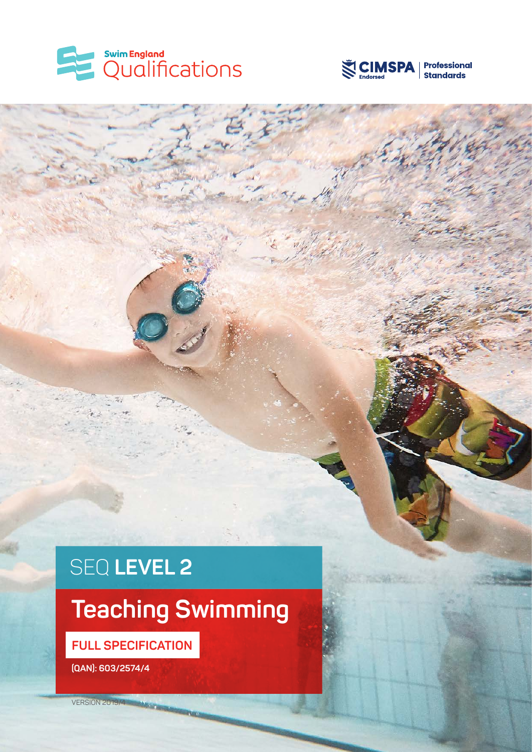



# SEQ **LEVEL 2**

# **Teaching Swimming**

**FULL SPECIFICATION** 

**(QAN): 603/2574/4**

VERSION 2019/4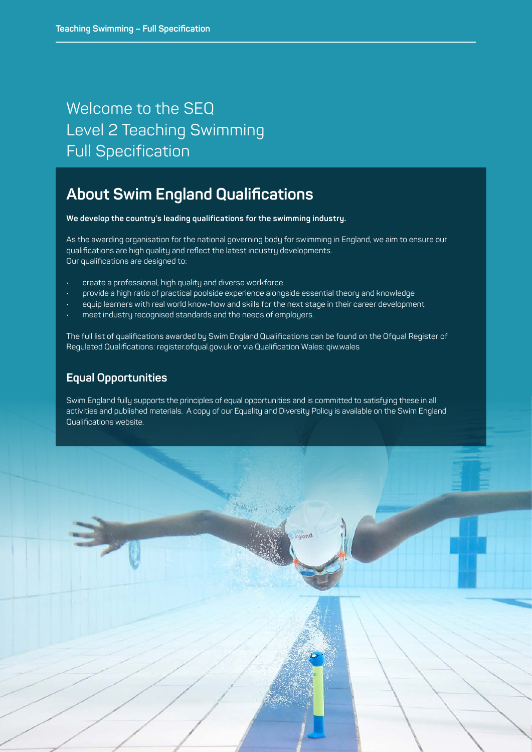### Welcome to the SEQ Level 2 Teaching Swimming Full Specification

### **About Swim England Qualifications**

**We develop the country's leading qualifications for the swimming industry.** 

As the awarding organisation for the national governing body for swimming in England, we aim to ensure our qualifications are high quality and reflect the latest industry developments. Our qualifications are designed to:

- create a professional, high quality and diverse workforce
- provide a high ratio of practical poolside experience alongside essential theory and knowledge
- equip learners with real world know-how and skills for the next stage in their career development
- meet industry recognised standards and the needs of employers.

The full list of qualifications awarded by Swim England Qualifications can be found on the Ofqual Register of Regulated Qualifications: register.ofqual.gov.uk or via Qualification Wales: qiw.wales

### **Equal Opportunities**

Swim England fully supports the principles of equal opportunities and is committed to satisfying these in all activities and published materials. A copy of our Equality and Diversity Policy is available on the Swim England Qualifications website.

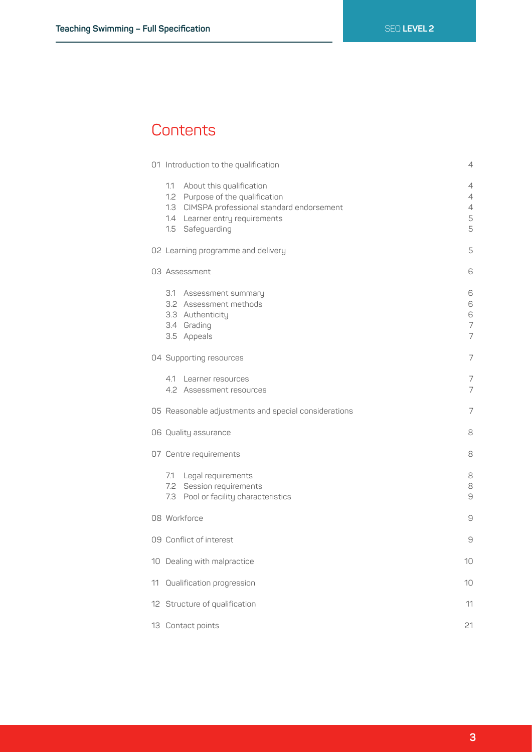### **Contents**

|    | 01 Introduction to the qualification                                                                                                                                      |                       |  |
|----|---------------------------------------------------------------------------------------------------------------------------------------------------------------------------|-----------------------|--|
|    | About this qualification<br>1.1<br>1.2 Purpose of the qualification<br>1.3 CIMSPA professional standard endorsement<br>1.4 Learner entry requirements<br>1.5 Safeguarding | 4<br>4<br>4<br>5<br>5 |  |
|    | 02 Learning programme and delivery                                                                                                                                        | 5                     |  |
|    | 03 Assessment                                                                                                                                                             | 6                     |  |
|    | 3.1 Assessment summary<br>3.2 Assessment methods<br>3.3 Authenticity<br>3.4 Grading<br>3.5 Appeals                                                                        | 6<br>6<br>6<br>7<br>7 |  |
|    | 04 Supporting resources                                                                                                                                                   | 7                     |  |
|    | 4.1 Learner resources<br>4.2 Assessment resources                                                                                                                         | 7<br>7                |  |
|    | 05 Reasonable adjustments and special considerations                                                                                                                      | 7                     |  |
|    | 06 Quality assurance                                                                                                                                                      | 8                     |  |
|    | 07 Centre requirements                                                                                                                                                    | 8                     |  |
|    | 7.1 Legal requirements<br>7.2 Session requirements<br>7.3 Pool or facility characteristics                                                                                | 8<br>8<br>9           |  |
|    | 08 Workforce                                                                                                                                                              | $\Theta$              |  |
|    | 09 Conflict of interest                                                                                                                                                   | 9                     |  |
|    | 10 Dealing with malpractice                                                                                                                                               | 10                    |  |
| 11 | Qualification progression                                                                                                                                                 | 10                    |  |
|    | 12 Structure of qualification                                                                                                                                             | 11                    |  |
|    | 13 Contact points                                                                                                                                                         | 21                    |  |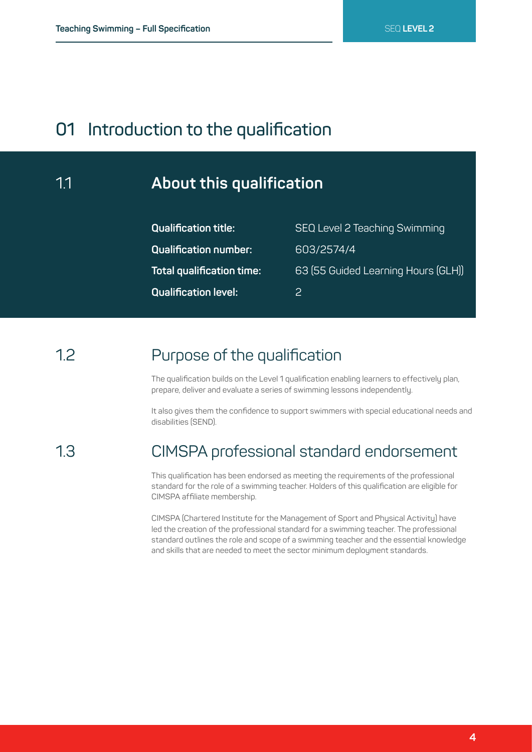### **01 Introduction to the qualification**

### 1.1 **About this qualification**

| <b>Qualification title:</b>      | S |
|----------------------------------|---|
| <b>Qualification number:</b>     | 6 |
| <b>Total qualification time:</b> | 6 |
| <b>Qualification level:</b>      |   |

SEQ Level 2 Teaching Swimming **Qualification number:** 603/2574/4 **Total qualification time:** 63 (55 Guided Learning Hours (GLH))

#### Purpose of the qualification 12

The qualification builds on the Level 1 qualification enabling learners to effectively plan. prepare, deliver and evaluate a series of swimming lessons independently.

It also gives them the confidence to support swimmers with special educational needs and disabilities (SEND).

1.3

### CIMSPA professional standard endorsement

This qualification has been endorsed as meeting the requirements of the professional standard for the role of a swimming teacher. Holders of this qualification are eligible for CIMSPA affiliate membership.

CIMSPA (Chartered Institute for the Management of Sport and Physical Activity) have led the creation of the professional standard for a swimming teacher. The professional standard outlines the role and scope of a swimming teacher and the essential knowledge and skills that are needed to meet the sector minimum deployment standards.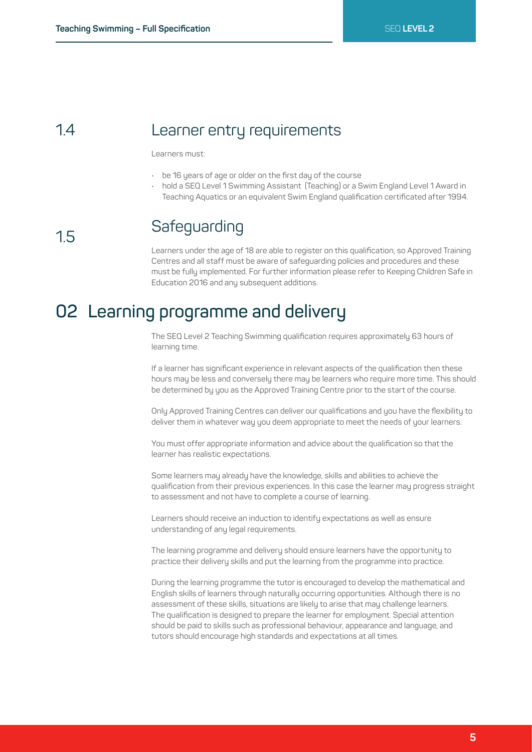#### Learner entry requirements 1.4

Learners must:

- be 16 years of age or older on the first day of the course
- hold a SEQ Level 1 Swimming Assistant (Teaching) or a Swim England Level 1 Award in Teaching Aquatics or an equivalent Swim England qualification certificated after 1994.

1.5

### Safeguarding

Learners under the age of 18 are able to register on this qualification, so Approved Training Centres and all staff must be aware of safeguarding policies and procedures and these must be fully implemented. For further information please refer to Keeping Children Safe in Education 2016 and any subsequent additions.

# **02 Learning programme and delivery**

The SEQ Level 2 Teaching Swimming qualification requires approximately 63 hours of learning time.

If a learner has significant experience in relevant aspects of the qualification then these hours may be less and conversely there may be learners who require more time. This should be determined by you as the Approved Training Centre prior to the start of the course.

Only Approved Training Centres can deliver our qualifications and you have the flexibility to deliver them in whatever way you deem appropriate to meet the needs of your learners.

You must offer appropriate information and advice about the qualification so that the learner has realistic expectations.

Some learners may already have the knowledge, skills and abilities to achieve the qualification from their previous experiences. In this case the learner may progress straight to assessment and not have to complete a course of learning.

Learners should receive an induction to identify expectations as well as ensure understanding of any legal requirements.

The learning programme and delivery should ensure learners have the opportunity to practice their delivery skills and put the learning from the programme into practice.

During the learning programme the tutor is encouraged to develop the mathematical and English skills of learners through naturally occurring opportunities. Although there is no assessment of these skills, situations are likely to arise that may challenge learners. The qualification is designed to prepare the learner for employment. Special attention should be paid to skills such as professional behaviour, appearance and language, and tutors should encourage high standards and expectations at all times.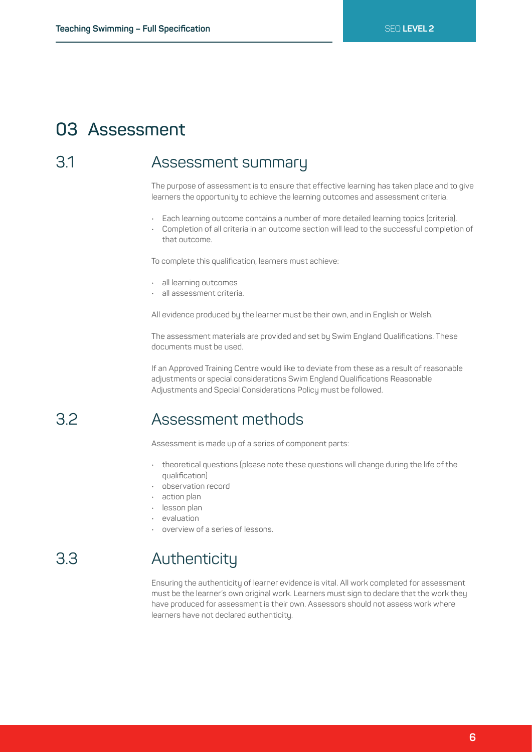### **03 Assessment**

#### Assessment summary 3.1

The purpose of assessment is to ensure that effective learning has taken place and to give learners the opportunity to achieve the learning outcomes and assessment criteria.

- Each learning outcome contains a number of more detailed learning topics (criteria).
- Completion of all criteria in an outcome section will lead to the successful completion of that outcome.

To complete this qualification, learners must achieve:

- all learning outcomes
- all assessment criteria.

All evidence produced by the learner must be their own, and in English or Welsh.

The assessment materials are provided and set by Swim England Qualifications. These documents must be used.

If an Approved Training Centre would like to deviate from these as a result of reasonable adjustments or special considerations Swim England Qualifications Reasonable Adjustments and Special Considerations Policy must be followed.

#### Assessment methods 3.2

Assessment is made up of a series of component parts:

- theoretical questions (please note these questions will change during the life of the qualification)
- observation record
- action plan
- lesson plan
- evaluation
- overview of a series of lessons.

#### Authenticity 3.3

Ensuring the authenticity of learner evidence is vital. All work completed for assessment must be the learner's own original work. Learners must sign to declare that the work they have produced for assessment is their own. Assessors should not assess work where learners have not declared authenticity.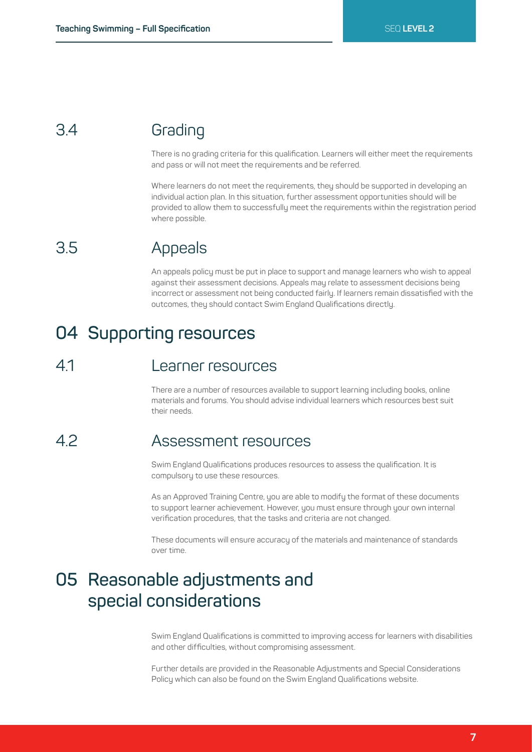#### Grading 3.4

There is no grading criteria for this qualification. Learners will either meet the requirements and pass or will not meet the requirements and be referred.

Where learners do not meet the requirements, they should be supported in developing an individual action plan. In this situation, further assessment opportunities should will be provided to allow them to successfully meet the requirements within the registration period where possible.

#### Appeals 3.5

An appeals policy must be put in place to support and manage learners who wish to appeal against their assessment decisions. Appeals may relate to assessment decisions being incorrect or assessment not being conducted fairly. If learners remain dissatisfied with the outcomes, they should contact Swim England Qualifications directly.

### **04 Supporting resources**

#### Learner resources 41

There are a number of resources available to support learning including books, online materials and forums. You should advise individual learners which resources best suit their needs.

#### Assessment resources 42

Swim England Qualifications produces resources to assess the qualification. It is compulsory to use these resources.

As an Approved Training Centre, you are able to modify the format of these documents to support learner achievement. However, you must ensure through your own internal verification procedures, that the tasks and criteria are not changed.

These documents will ensure accuracy of the materials and maintenance of standards over time.

### **05 Reasonable adjustments and special considerations**

Swim England Qualifications is committed to improving access for learners with disabilities and other difficulties, without compromising assessment.

Further details are provided in the Reasonable Adjustments and Special Considerations Policy which can also be found on the Swim England Qualifications website.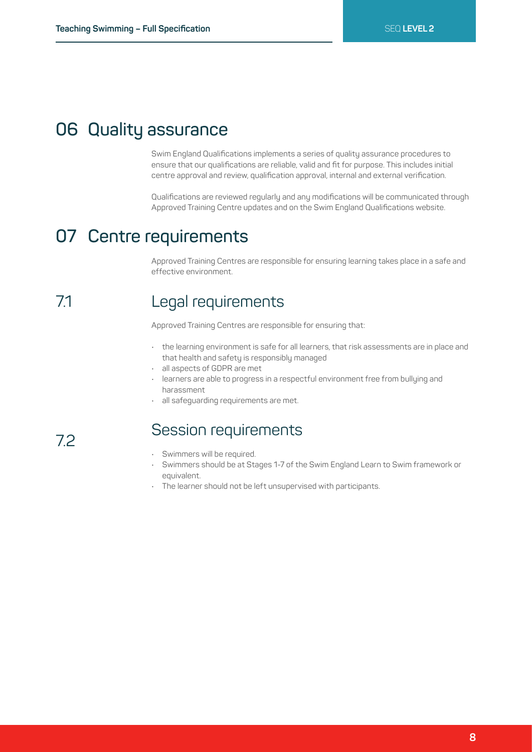### **06 Quality assurance**

Swim England Qualifications implements a series of quality assurance procedures to ensure that our qualifications are reliable, valid and fit for purpose. This includes initial centre approval and review, qualification approval, internal and external verification.

Qualifications are reviewed regularly and any modifications will be communicated through Approved Training Centre updates and on the Swim England Qualifications website.

### **07 Centre requirements**

Approved Training Centres are responsible for ensuring learning takes place in a safe and effective environment.

#### Legal requirements 71

Approved Training Centres are responsible for ensuring that:

- the learning environment is safe for all learners, that risk assessments are in place and that health and safety is responsibly managed
- all aspects of GDPR are met
- learners are able to progress in a respectful environment free from bullying and harassment
- all safequarding requirements are met.

72

### Session requirements

- Swimmers will be required.
- Swimmers should be at Stages 1-7 of the Swim England Learn to Swim framework or equivalent.
- The learner should not be left unsupervised with participants.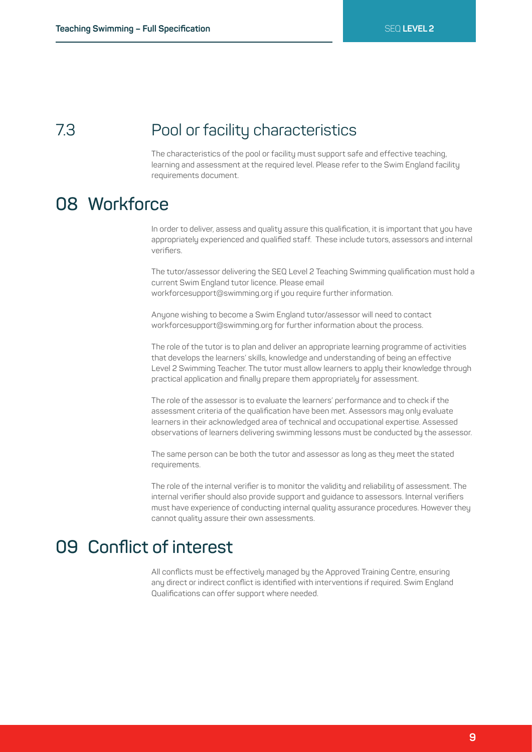### Pool or facility characteristics 7.3

The characteristics of the pool or facility must support safe and effective teaching, learning and assessment at the required level. Please refer to the Swim England facility requirements document.

### **08 Workforce**

In order to deliver, assess and quality assure this qualification, it is important that you have appropriately experienced and qualified staff. These include tutors, assessors and internal verifiers.

The tutor/assessor delivering the SEQ Level 2 Teaching Swimming qualification must hold a current Swim England tutor licence. Please email workforcesupport@swimming.org if you require further information.

Anyone wishing to become a Swim England tutor/assessor will need to contact workforcesupport@swimming.org for further information about the process.

The role of the tutor is to plan and deliver an appropriate learning programme of activities that develops the learners' skills, knowledge and understanding of being an effective Level 2 Swimming Teacher. The tutor must allow learners to apply their knowledge through practical application and finally prepare them appropriately for assessment.

The role of the assessor is to evaluate the learners' performance and to check if the assessment criteria of the qualification have been met. Assessors may only evaluate learners in their acknowledged area of technical and occupational expertise. Assessed observations of learners delivering swimming lessons must be conducted by the assessor.

The same person can be both the tutor and assessor as long as they meet the stated requirements.

The role of the internal verifier is to monitor the validity and reliability of assessment. The internal verifier should also provide support and guidance to assessors. Internal verifiers must have experience of conducting internal quality assurance procedures. However they cannot quality assure their own assessments.

## **09 Conflict of interest**

All conflicts must be effectively managed by the Approved Training Centre, ensuring any direct or indirect conflict is identified with interventions if required. Swim England Qualifications can offer support where needed.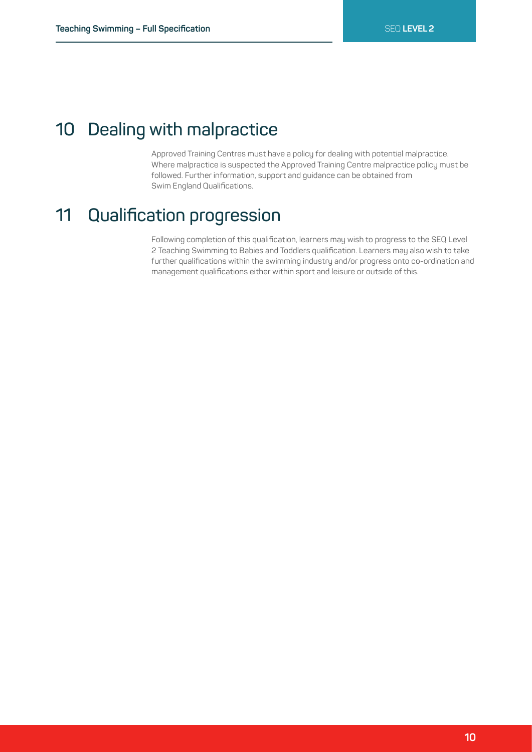### **10 Dealing with malpractice**

Approved Training Centres must have a policy for dealing with potential malpractice. Where malpractice is suspected the Approved Training Centre malpractice policy must be followed. Further information, support and guidance can be obtained from Swim England Qualifications.

## **11 Qualification progression**

Following completion of this qualification, learners may wish to progress to the SEQ Level 2 Teaching Swimming to Babies and Toddlers qualification. Learners may also wish to take further qualifications within the swimming industry and/or progress onto co-ordination and management qualifications either within sport and leisure or outside of this.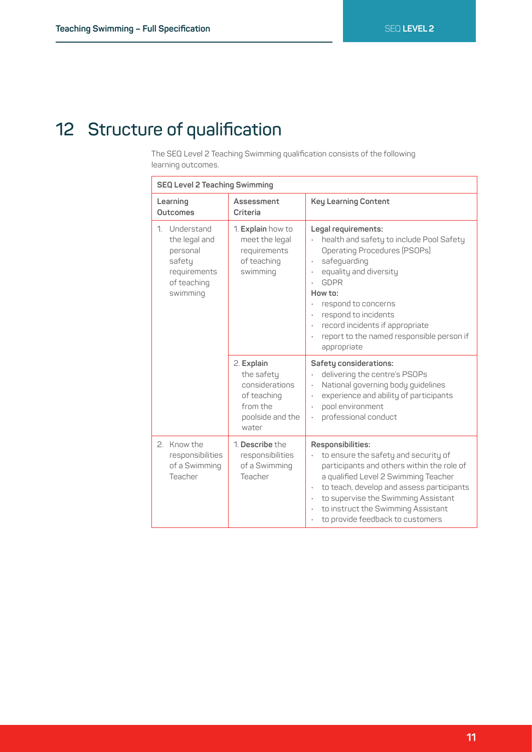# **12 Structure of qualification**

The SEQ Level 2 Teaching Swimming qualification consists of the following learning outcomes.

| <b>SEQ Level 2 Teaching Swimming</b>                                                               |                                                                                                    |                                                                                                                                                                                                                                                                                                                   |
|----------------------------------------------------------------------------------------------------|----------------------------------------------------------------------------------------------------|-------------------------------------------------------------------------------------------------------------------------------------------------------------------------------------------------------------------------------------------------------------------------------------------------------------------|
| Learning<br><b>Outcomes</b>                                                                        | Assessment<br>Criteria                                                                             | <b>Key Learning Content</b>                                                                                                                                                                                                                                                                                       |
| Understand<br>1.<br>the legal and<br>personal<br>safety<br>requirements<br>of teaching<br>swimming | 1. Explain how to<br>meet the legal<br>requirements<br>of teaching<br>swimming                     | Legal requirements:<br>health and safety to include Pool Safety<br>Operating Procedures (PSOPs)<br>safeguarding<br>equality and diversity<br><b>GDPR</b><br>How to:<br>respond to concerns<br>respond to incidents<br>record incidents if appropriate<br>report to the named responsible person if<br>appropriate |
|                                                                                                    | 2. Explain<br>the safety<br>considerations<br>of teaching<br>from the<br>poolside and the<br>water | Safety considerations:<br>delivering the centre's PSOPs<br>National governing body guidelines<br>experience and ability of participants<br>$\bullet$<br>pool environment<br>professional conduct                                                                                                                  |
| 2. Know the<br>responsibilities<br>of a Swimming<br>Teacher                                        | 1. Describe the<br>responsibilities<br>of a Swimming<br>Teacher                                    | Responsibilities:<br>to ensure the safety and security of<br>participants and others within the role of<br>a qualified Level 2 Swimming Teacher<br>to teach, develop and assess participants<br>to supervise the Swimming Assistant<br>to instruct the Swimming Assistant<br>to provide feedback to customers     |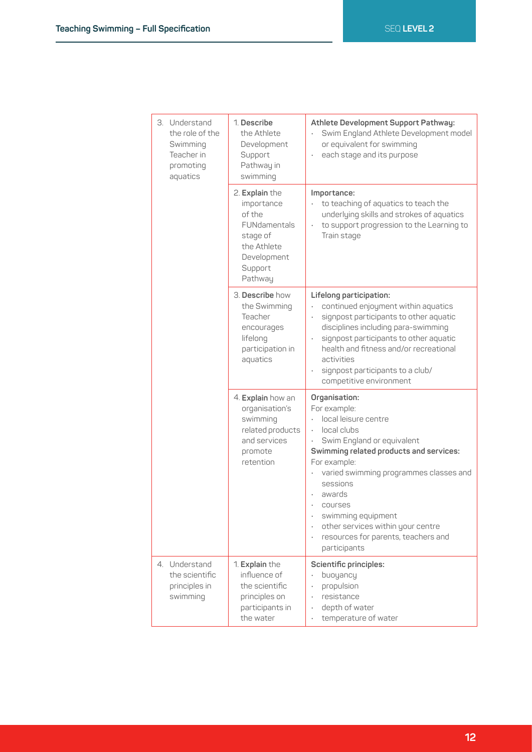|  | 3. Understand<br>the role of the<br>Swimming<br>Teacher in<br>promoting<br>aquatics | 1. Describe<br>the Athlete<br>Development<br>Support<br>Pathway in<br>swimming                                         | Athlete Development Support Pathway:<br>Swim England Athlete Development model<br>or equivalent for swimming<br>each stage and its purpose                                                                                                                                                                                                                                                                 |
|--|-------------------------------------------------------------------------------------|------------------------------------------------------------------------------------------------------------------------|------------------------------------------------------------------------------------------------------------------------------------------------------------------------------------------------------------------------------------------------------------------------------------------------------------------------------------------------------------------------------------------------------------|
|  |                                                                                     | 2. Explain the<br>importance<br>of the<br>FUNdamentals<br>stage of<br>the Athlete<br>Development<br>Support<br>Pathway | Importance:<br>to teaching of aquatics to teach the<br>underlying skills and strokes of aquatics<br>to support progression to the Learning to<br>Train stage                                                                                                                                                                                                                                               |
|  |                                                                                     | 3. Describe how<br>the Swimming<br>Teacher<br>encourages<br>lifelong<br>participation in<br>aquatics                   | Lifelong participation:<br>continued enjoyment within aquatics<br>signpost participants to other aquatic<br>disciplines including para-swimming<br>signpost participants to other aquatic<br>health and fitness and/or recreational<br>activities<br>signpost participants to a club/<br>competitive environment                                                                                           |
|  |                                                                                     | 4. Explain how an<br>organisation's<br>swimming<br>related products<br>and services<br>promote<br>retention            | Organisation:<br>For example:<br>local leisure centre<br>$\ddot{\phantom{0}}$<br>local clubs<br>$\ddot{\phantom{0}}$<br>Swim England or equivalent<br>Swimming related products and services:<br>For example:<br>varied swimming programmes classes and<br>sessions<br>awards<br>courses<br>swimming equipment<br>other services within your centre<br>resources for parents, teachers and<br>participants |
|  | 4. Understand<br>the scientific<br>principles in<br>swimming                        | 1. Explain the<br>influence of<br>the scientific<br>principles on<br>participants in<br>the water                      | Scientific principles:<br>buoyancy<br>propulsion<br>resistance<br>depth of water<br>temperature of water                                                                                                                                                                                                                                                                                                   |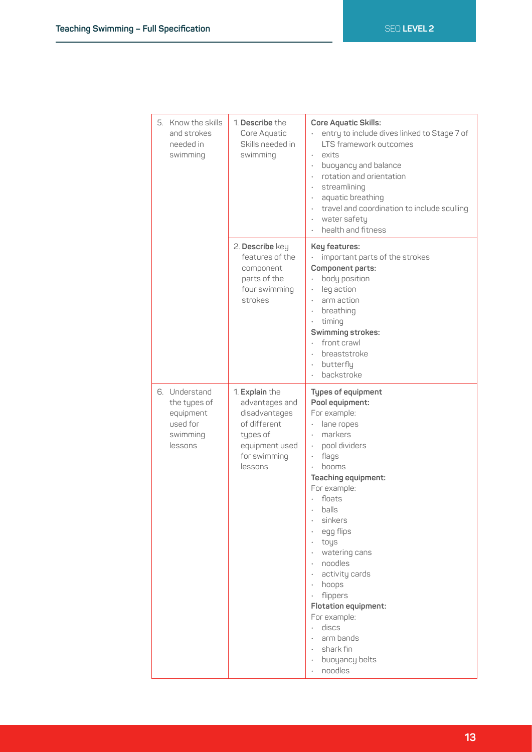| 5. Know the skills<br>and strokes<br>needed in<br>swimming                    | 1. Describe the<br>Core Aquatic<br>Skills needed in<br>swimming                                                            | Core Aquatic Skills:<br>entry to include dives linked to Stage 7 of<br>$\ddot{\phantom{0}}$<br>LTS framework outcomes<br>exits<br>$\bullet$<br>buoyancy and balance<br>$\bullet$<br>rotation and orientation<br>$\bullet$<br>streamlining<br>$\bullet$<br>aquatic breathing<br>$\bullet$<br>travel and coordination to include sculling<br>$\bullet$<br>water safety<br>$\bullet$<br>health and fitness<br>$\bullet$                                    |
|-------------------------------------------------------------------------------|----------------------------------------------------------------------------------------------------------------------------|---------------------------------------------------------------------------------------------------------------------------------------------------------------------------------------------------------------------------------------------------------------------------------------------------------------------------------------------------------------------------------------------------------------------------------------------------------|
|                                                                               | 2. Describe key<br>features of the<br>component<br>parts of the<br>four swimming<br>strokes                                | Key features:<br>important parts of the strokes<br>Component parts:<br>body position<br>leg action<br>$\ddot{\phantom{0}}$<br>arm action<br>$\bullet$<br>breathing<br>$\bullet$<br>timing<br>$\bullet$<br>Swimming strokes:<br>front crawl<br>breaststroke<br>$\bullet$<br>butterfly<br>$\bullet$<br>backstroke<br>$\ddot{\phantom{0}}$                                                                                                                 |
| 6. Understand<br>the types of<br>equipment<br>used for<br>swimming<br>lessons | 1. Explain the<br>advantages and<br>disadvantages<br>of different<br>types of<br>equipment used<br>for swimming<br>lessons | Types of equipment<br>Pool equipment:<br>For example:<br>lane ropes<br>markers<br>$\bullet$<br>pool dividers<br>$\bullet$<br>flags<br>$\bullet$<br>hooms<br>Teaching equipment:<br>For example:<br>floats<br>balls<br>sinkers<br>egg flips<br>toys<br>watering cans<br>noodles<br>$\bullet$<br>activity cards<br>hoops<br>$\bullet$<br>flippers<br>Flotation equipment:<br>For example:<br>discs<br>arm bands<br>shark fin<br>buoyancy belts<br>noodles |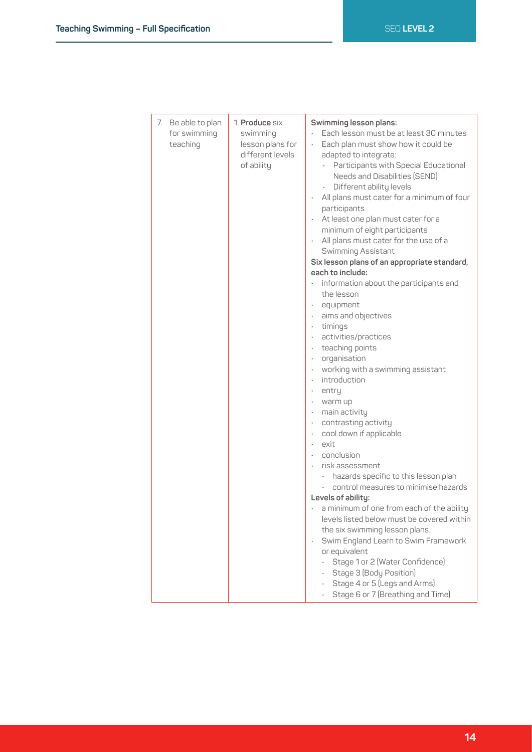| 7.<br>Be able to plan<br>for swimming<br>teaching | 1. Produce six<br>swimming<br>lesson plans for<br>different levels<br>of ability | Swimming lesson plans:<br>Each lesson must be at least 30 minutes<br>$\bullet$<br>Each plan must show how it could be<br>adapted to integrate:<br>• Participants with Special Educational<br>Needs and Disabilities (SEND)<br>Different ability levels<br>All plans must cater for a minimum of four<br>$\bullet$<br>participants<br>At least one plan must cater for a<br>$\bullet$<br>minimum of eight participants<br>All plans must cater for the use of a<br>$\ddot{\phantom{0}}$<br>Swimming Assistant<br>Six lesson plans of an appropriate standard,<br>each to include:<br>information about the participants and<br>$\bullet$<br>the lesson<br>equipment<br>$\bullet$<br>aims and objectives<br>$\bullet$<br>timings<br>$\bullet$<br>activities/practices<br>$\bullet$<br>teaching points<br>$\bullet$<br>organisation<br>$\bullet$<br>working with a swimming assistant<br>$\bullet$<br>introduction<br>$\bullet$<br>entry<br>$\bullet$<br>warm up<br>$\bullet$<br>main activity<br>$\bullet$<br>contrasting activity<br>$\bullet$<br>cool down if applicable<br>$\bullet$<br>exit<br>$\bullet$<br>conclusion<br>$\bullet$<br>risk assessment<br>hazards specific to this lesson plan<br>$\bullet$<br>control measures to minimise hazards<br>Levels of ability:<br>a minimum of one from each of the ability<br>$\bullet$<br>levels listed below must be covered within<br>the six swimming lesson plans.<br>Swim England Learn to Swim Framework<br>$\bullet$ |
|---------------------------------------------------|----------------------------------------------------------------------------------|----------------------------------------------------------------------------------------------------------------------------------------------------------------------------------------------------------------------------------------------------------------------------------------------------------------------------------------------------------------------------------------------------------------------------------------------------------------------------------------------------------------------------------------------------------------------------------------------------------------------------------------------------------------------------------------------------------------------------------------------------------------------------------------------------------------------------------------------------------------------------------------------------------------------------------------------------------------------------------------------------------------------------------------------------------------------------------------------------------------------------------------------------------------------------------------------------------------------------------------------------------------------------------------------------------------------------------------------------------------------------------------------------------------------------------------------------------------------------|
|                                                   |                                                                                  | or equivalent<br>Stage 1 or 2 (Water Confidence)<br>Stage 3 (Body Position)<br>Stage 4 or 5 (Legs and Arms)                                                                                                                                                                                                                                                                                                                                                                                                                                                                                                                                                                                                                                                                                                                                                                                                                                                                                                                                                                                                                                                                                                                                                                                                                                                                                                                                                                |
|                                                   |                                                                                  | Stage 6 or 7 (Breathing and Time)                                                                                                                                                                                                                                                                                                                                                                                                                                                                                                                                                                                                                                                                                                                                                                                                                                                                                                                                                                                                                                                                                                                                                                                                                                                                                                                                                                                                                                          |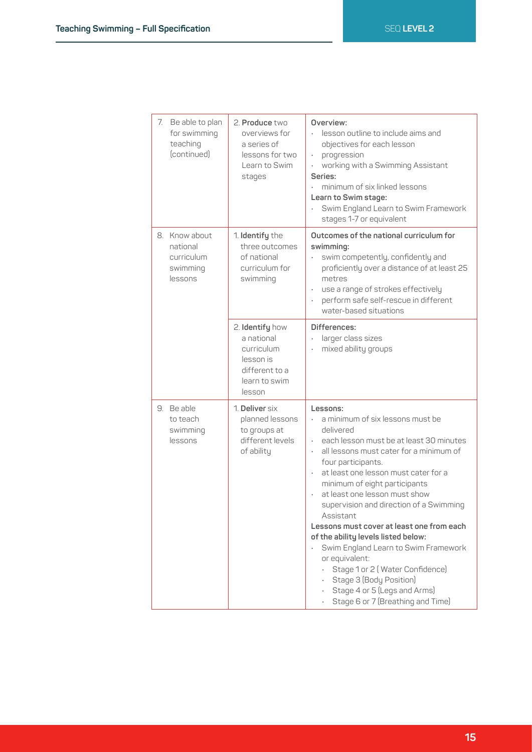|  | 7. Be able to plan<br>for swimming<br>teaching<br>(continued)  | 2. Produce two<br>overviews for<br>a series of<br>lessons for two<br>Learn to Swim<br>stages          | Overview:<br>lesson outline to include aims and<br>objectives for each lesson<br>progression<br>working with a Swimming Assistant<br>Series:<br>minimum of six linked lessons<br>Learn to Swim stage:<br>Swim England Learn to Swim Framework<br>stages 1-7 or equivalent                                                                                                                                                                                                                                                                                                                                                                                                |
|--|----------------------------------------------------------------|-------------------------------------------------------------------------------------------------------|--------------------------------------------------------------------------------------------------------------------------------------------------------------------------------------------------------------------------------------------------------------------------------------------------------------------------------------------------------------------------------------------------------------------------------------------------------------------------------------------------------------------------------------------------------------------------------------------------------------------------------------------------------------------------|
|  | 8. Know about<br>national<br>curriculum<br>swimming<br>lessons | 1. Identify the<br>three outcomes<br>of national<br>curriculum for<br>swimming                        | Outcomes of the national curriculum for<br>swimming:<br>swim competently, confidently and<br>proficiently over a distance of at least 25<br>metres<br>use a range of strokes effectively<br>perform safe self-rescue in different<br>water-based situations                                                                                                                                                                                                                                                                                                                                                                                                              |
|  |                                                                | 2. Identify how<br>a national<br>curriculum<br>lesson is<br>different to a<br>learn to swim<br>lesson | Differences:<br>larger class sizes<br>mixed ability groups                                                                                                                                                                                                                                                                                                                                                                                                                                                                                                                                                                                                               |
|  | 9. Be able<br>to teach<br>swimming<br>lessons                  | 1. Deliver six<br>planned lessons<br>to groups at<br>different levels<br>of ability                   | Lessons:<br>a minimum of six lessons must be<br>delivered<br>each lesson must be at least 30 minutes<br>all lessons must cater for a minimum of<br>$\bullet$<br>four participants.<br>at least one lesson must cater for a<br>$\ddot{\phantom{0}}$<br>minimum of eight participants<br>at least one lesson must show<br>$\cdot$<br>supervision and direction of a Swimming<br>Assistant<br>Lessons must cover at least one from each<br>of the ability levels listed below:<br>Swim England Learn to Swim Framework<br>or equivalent:<br>Stage 1 or 2 (Water Confidence)<br>Stage 3 (Body Position)<br>Stage 4 or 5 (Legs and Arms)<br>Stage 6 or 7 (Breathing and Time) |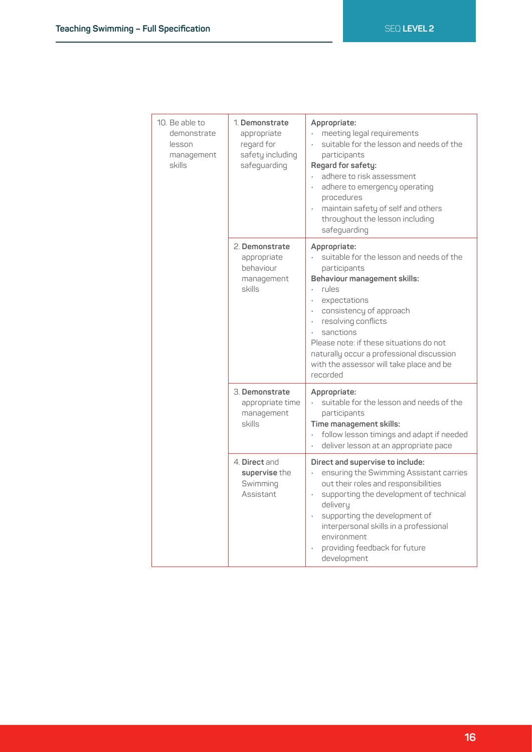| 10. Be able to<br>demonstrate<br>lesson<br>management<br>skills | 1. Demonstrate<br>appropriate<br>regard for<br>safety including<br>safeguarding | Appropriate:<br>meeting legal requirements<br>suitable for the lesson and needs of the<br>participants<br>Regard for safety:<br>adhere to risk assessment<br>adhere to emergency operating<br>procedures<br>maintain safety of self and others<br>throughout the lesson including<br>safeguarding                                                |
|-----------------------------------------------------------------|---------------------------------------------------------------------------------|--------------------------------------------------------------------------------------------------------------------------------------------------------------------------------------------------------------------------------------------------------------------------------------------------------------------------------------------------|
|                                                                 | 2. Demonstrate<br>appropriate<br>behaviour<br>management<br>skills              | Appropriate:<br>suitable for the lesson and needs of the<br>participants<br>Behaviour management skills:<br>rules<br>expectations<br>consistency of approach<br>resolving conflicts<br>sanctions<br>Please note: if these situations do not<br>naturally occur a professional discussion<br>with the assessor will take place and be<br>recorded |
|                                                                 | 3. Demonstrate<br>appropriate time<br>management<br>skills                      | Appropriate:<br>suitable for the lesson and needs of the<br>participants<br>Time management skills:<br>follow lesson timings and adapt if needed<br>deliver lesson at an appropriate pace                                                                                                                                                        |
|                                                                 | 4. Direct and<br>supervise the<br>Swimming<br>Assistant                         | Direct and supervise to include:<br>ensuring the Swimming Assistant carries<br>out their roles and responsibilities<br>supporting the development of technical<br>delivery<br>supporting the development of<br>interpersonal skills in a professional<br>environment<br>providing feedback for future<br>development                             |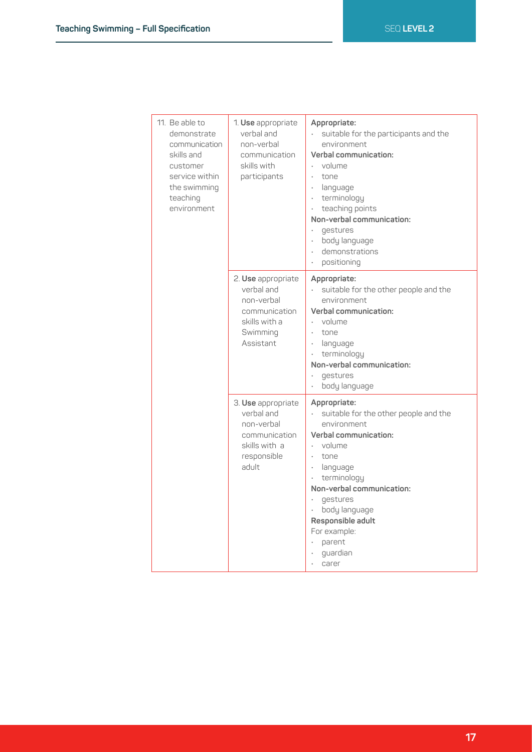| 11. Be able to<br>demonstrate<br>communication<br>skills and<br>customer<br>service within<br>the swimming<br>teaching<br>environment | 1. Use appropriate<br>verbal and<br>non-verbal<br>communication<br>skills with<br>participants            | Appropriate:<br>suitable for the participants and the<br>environment<br>Verbal communication:<br>volume<br>tone<br>language<br>$\ddot{\phantom{0}}$<br>terminology<br>$\bullet$<br>teaching points<br>$\bullet$<br>Non-verbal communication:<br>qestures<br>body language<br>demonstrations<br>$\ddot{\phantom{0}}$<br>positioning |
|---------------------------------------------------------------------------------------------------------------------------------------|-----------------------------------------------------------------------------------------------------------|------------------------------------------------------------------------------------------------------------------------------------------------------------------------------------------------------------------------------------------------------------------------------------------------------------------------------------|
|                                                                                                                                       | 2. Use appropriate<br>verbal and<br>non-verbal<br>communication<br>skills with a<br>Swimming<br>Assistant | Appropriate:<br>suitable for the other people and the<br>environment<br>Verbal communication:<br>volume<br>tone<br>$\ddot{\phantom{a}}$<br>language<br>terminology<br>Non-verbal communication:<br>qestures<br>body language                                                                                                       |
|                                                                                                                                       | 3. Use appropriate<br>verbal and<br>non-verbal<br>communication<br>skills with a<br>responsible<br>adult  | Appropriate:<br>suitable for the other people and the<br>environment<br>Verbal communication:<br>volume<br>tone<br>language<br>terminology<br>$\bullet$<br>Non-verbal communication:<br>gestures<br>body language<br>Responsible adult<br>For example:<br>parent<br>guardian<br>carer                                              |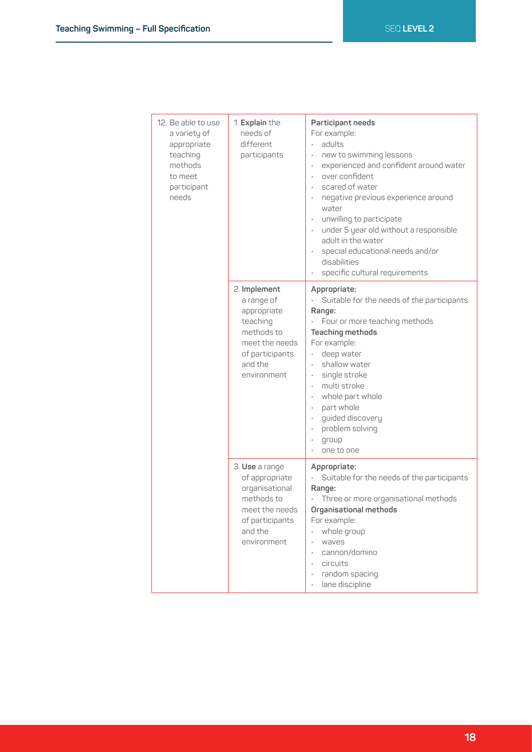| 12. Be able to use<br>a variety of<br>appropriate<br>teaching<br>methods<br>to meet<br>participant<br>needs | 1. Explain the<br>needs of<br>different<br>participants                                                                            | Participant needs<br>For example:<br>adults<br>new to swimming lessons<br>experienced and confident around water<br>over confident<br>scared of water<br>negative previous experience around<br>water<br>unwilling to participate<br>under 5 year old without a responsible<br>adult in the water<br>special educational needs and/or<br>disabilities<br>specific cultural requirements |
|-------------------------------------------------------------------------------------------------------------|------------------------------------------------------------------------------------------------------------------------------------|-----------------------------------------------------------------------------------------------------------------------------------------------------------------------------------------------------------------------------------------------------------------------------------------------------------------------------------------------------------------------------------------|
|                                                                                                             | 2. Implement<br>a range of<br>appropriate<br>teaching<br>methods to<br>meet the needs<br>of participants<br>and the<br>environment | Appropriate:<br>Suitable for the needs of the participants<br>Range:<br>Four or more teaching methods<br><b>Teaching methods</b><br>For example:<br>deep water<br>$\bullet$<br>shallow water<br>$\bullet$<br>single stroke<br>multi stroke<br>$\bullet$<br>whole part whole<br>part whole<br>guided discovery<br>problem solving<br>group<br>one to one                                 |
|                                                                                                             | 3. Use a range<br>of appropriate<br>organisational<br>methods to<br>meet the needs<br>of participants<br>and the<br>environment    | Appropriate:<br>Suitable for the needs of the participants<br>Range:<br>Three or more organisational methods<br>Organisational methods<br>For example:<br>whole group<br>waves<br>cannon/domino<br>circuits<br>$\bullet$<br>random spacing<br>lane discipline                                                                                                                           |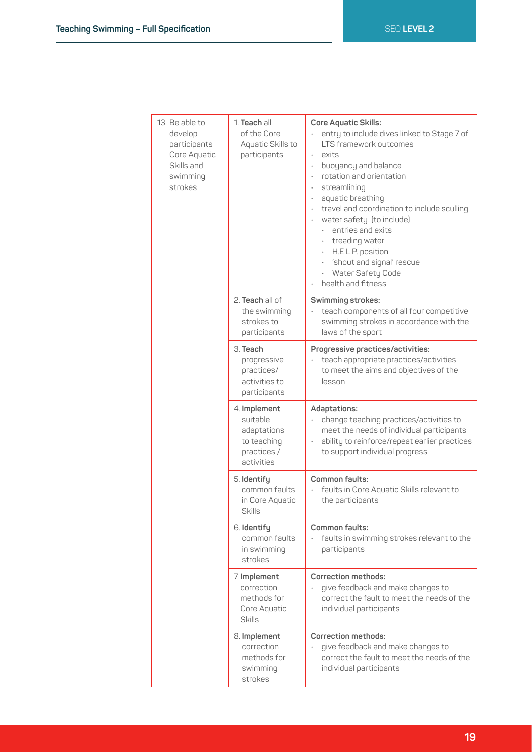| 13. Be able to<br>develop<br>participants<br>Core Aquatic<br>Skills and<br>swimming<br>strokes | 1. Teach all<br>of the Core<br>Aquatic Skills to<br>participants                    | Core Aquatic Skills:<br>entry to include dives linked to Stage 7 of<br>LTS framework outcomes<br>exits<br>buoyancy and balance<br>rotation and orientation<br>streamlining<br>aquatic breathing<br>travel and coordination to include sculling<br>water safety (to include)<br>entries and exits<br>· treading water<br>· H.E.L.P. position<br>· 'shout and signal' rescue<br>Water Safety Code<br>health and fitness |
|------------------------------------------------------------------------------------------------|-------------------------------------------------------------------------------------|-----------------------------------------------------------------------------------------------------------------------------------------------------------------------------------------------------------------------------------------------------------------------------------------------------------------------------------------------------------------------------------------------------------------------|
|                                                                                                | 2. Teach all of<br>the swimming<br>strokes to<br>participants                       | Swimming strokes:<br>teach components of all four competitive<br>swimming strokes in accordance with the<br>laws of the sport                                                                                                                                                                                                                                                                                         |
|                                                                                                | 3. Teach<br>progressive<br>practices/<br>activities to<br>participants              | Progressive practices/activities:<br>teach appropriate practices/activities<br>to meet the aims and objectives of the<br>lesson                                                                                                                                                                                                                                                                                       |
|                                                                                                | 4. Implement<br>suitable<br>adaptations<br>to teaching<br>practices /<br>activities | Adaptations:<br>change teaching practices/activities to<br>meet the needs of individual participants<br>ability to reinforce/repeat earlier practices<br>$\bullet$<br>to support individual progress                                                                                                                                                                                                                  |
|                                                                                                | 5. Identify<br>common faults<br>in Core Aquatic<br><b>Skills</b>                    | Common faults:<br>faults in Core Aquatic Skills relevant to<br>the participants                                                                                                                                                                                                                                                                                                                                       |
|                                                                                                | 6. Identify<br>common faults<br>in swimming<br>strokes                              | Common faults:<br>faults in swimming strokes relevant to the<br>participants                                                                                                                                                                                                                                                                                                                                          |
|                                                                                                | 7. Implement<br>correction<br>methods for<br>Core Aquatic<br><b>Skills</b>          | Correction methods:<br>give feedback and make changes to<br>correct the fault to meet the needs of the<br>individual participants                                                                                                                                                                                                                                                                                     |
|                                                                                                | 8. Implement<br>correction<br>methods for<br>swimming<br>strokes                    | Correction methods:<br>give feedback and make changes to<br>correct the fault to meet the needs of the<br>individual participants                                                                                                                                                                                                                                                                                     |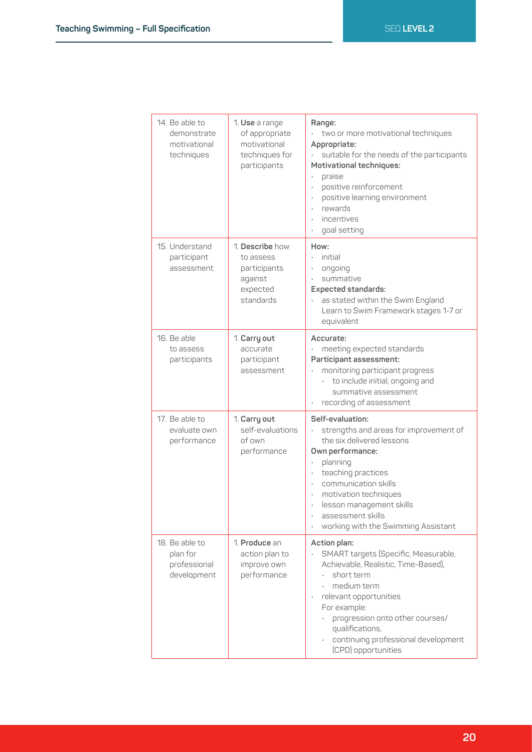| 14. Be able to<br>demonstrate<br>motivational<br>techniques | 1. Use a range<br>of appropriate<br>motivational<br>techniques for<br>participants | Range:<br>two or more motivational techniques<br>Appropriate:<br>suitable for the needs of the participants<br><b>Motivational techniques:</b><br>praise<br>positive reinforcement<br>positive learning environment<br>$\ddot{\phantom{0}}$<br>rewards<br>$\ddot{\phantom{0}}$<br>incentives<br>goal setting   |
|-------------------------------------------------------------|------------------------------------------------------------------------------------|----------------------------------------------------------------------------------------------------------------------------------------------------------------------------------------------------------------------------------------------------------------------------------------------------------------|
| 15. Understand<br>participant<br>assessment                 | 1. Describe how<br>to assess<br>participants<br>against<br>expected<br>standards   | How:<br>initial<br>ongoing<br>summative<br>$\bullet$<br><b>Expected standards:</b><br>as stated within the Swim England<br>Learn to Swim Framework stages 1-7 or<br>equivalent                                                                                                                                 |
| 16. Be able<br>to assess<br>participants                    | 1. Carry out<br>accurate<br>participant<br>assessment                              | Accurate:<br>meeting expected standards<br>Participant assessment:<br>monitoring participant progress<br>to include initial, ongoing and<br>¥.<br>summative assessment<br>recording of assessment                                                                                                              |
| 17. Be able to<br>evaluate own<br>performance               | 1. Carry out<br>self-evaluations<br>of own<br>performance                          | Self-evaluation:<br>strengths and areas for improvement of<br>the six delivered lessons<br>Own performance:<br>planning<br>$\ddot{\phantom{0}}$<br>teaching practices<br>communication skills<br>motivation techniques<br>lesson management skills<br>assessment skills<br>working with the Swimming Assistant |
| 18. Be able to<br>plan for<br>professional<br>development   | 1. Produce an<br>action plan to<br>improve own<br>performance                      | Action plan:<br>SMART targets (Specific, Measurable,<br>Achievable, Realistic, Time-Based),<br>short term<br>medium term<br>relevant opportunities<br>For example:<br>progression onto other courses/<br>qualifications,<br>continuing professional development<br>(CPD) opportunities                         |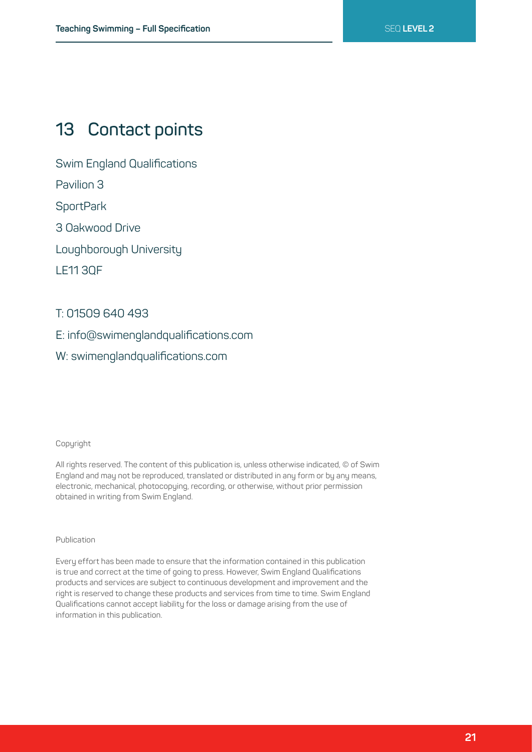### **13 Contact points**

Swim England Qualifications

Pavilion 3

**SportPark** 

3 Oakwood Drive

Loughborough University

LE11 3QF

### T: 01509 640 493

E: info@swimenglandqualifications.com

W: swimenglandqualifications.com

#### Copyright

All rights reserved. The content of this publication is, unless otherwise indicated, © of Swim England and may not be reproduced, translated or distributed in any form or by any means, electronic, mechanical, photocopying, recording, or otherwise, without prior permission obtained in writing from Swim England.

#### Publication

Every effort has been made to ensure that the information contained in this publication is true and correct at the time of going to press. However, Swim England Qualifications products and services are subject to continuous development and improvement and the right is reserved to change these products and services from time to time. Swim England Qualifications cannot accept liability for the loss or damage arising from the use of information in this publication.